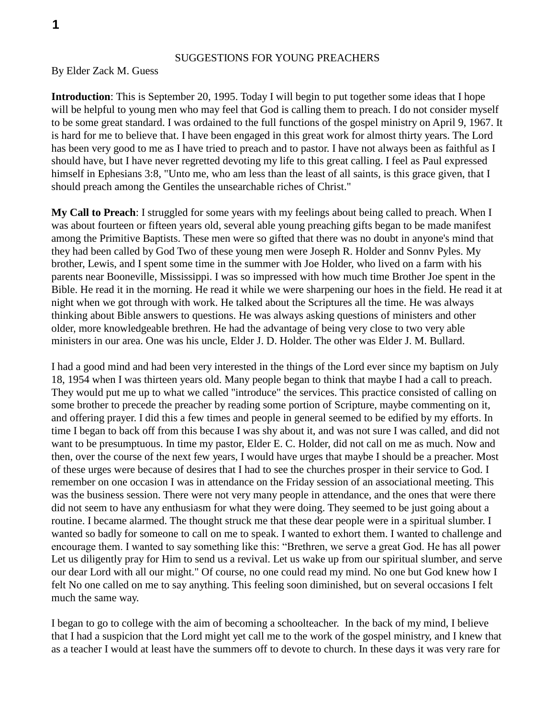## SUGGESTIONS FOR YOUNG PREACHERS

## By Elder Zack M. Guess

**Introduction**: This is September 20, 1995. Today I will begin to put together some ideas that I hope will be helpful to young men who may feel that God is calling them to preach. I do not consider myself to be some great standard. I was ordained to the full functions of the gospel ministry on April 9, 1967. It is hard for me to believe that. I have been engaged in this great work for almost thirty years. The Lord has been very good to me as I have tried to preach and to pastor. I have not always been as faithful as I should have, but I have never regretted devoting my life to this great calling. I feel as Paul expressed himself in Ephesians 3:8, "Unto me, who am less than the least of all saints, is this grace given, that I should preach among the Gentiles the unsearchable riches of Christ."

**My Call to Preach**: I struggled for some years with my feelings about being called to preach. When I was about fourteen or fifteen years old, several able young preaching gifts began to be made manifest among the Primitive Baptists. These men were so gifted that there was no doubt in anyone's mind that they had been called by God Two of these young men were Joseph R. Holder and Sonnv Pyles. My brother, Lewis, and I spent some time in the summer with Joe Holder, who lived on a farm with his parents near Booneville, Mississippi. I was so impressed with how much time Brother Joe spent in the Bible. He read it in the morning. He read it while we were sharpening our hoes in the field. He read it at night when we got through with work. He talked about the Scriptures all the time. He was always thinking about Bible answers to questions. He was always asking questions of ministers and other older, more knowledgeable brethren. He had the advantage of being very close to two very able ministers in our area. One was his uncle, Elder J. D. Holder. The other was Elder J. M. Bullard.

I had a good mind and had been very interested in the things of the Lord ever since my baptism on July 18, 1954 when I was thirteen years old. Many people began to think that maybe I had a call to preach. They would put me up to what we called "introduce" the services. This practice consisted of calling on some brother to precede the preacher by reading some portion of Scripture, maybe commenting on it, and offering prayer. I did this a few times and people in general seemed to be edified by my efforts. In time I began to back off from this because I was shy about it, and was not sure I was called, and did not want to be presumptuous. In time my pastor, Elder E. C. Holder, did not call on me as much. Now and then, over the course of the next few years, I would have urges that maybe I should be a preacher. Most of these urges were because of desires that I had to see the churches prosper in their service to God. I remember on one occasion I was in attendance on the Friday session of an associational meeting. This was the business session. There were not very many people in attendance, and the ones that were there did not seem to have any enthusiasm for what they were doing. They seemed to be just going about a routine. I became alarmed. The thought struck me that these dear people were in a spiritual slumber. I wanted so badly for someone to call on me to speak. I wanted to exhort them. I wanted to challenge and encourage them. I wanted to say something like this: "Brethren, we serve a great God. He has all power Let us diligently pray for Him to send us a revival. Let us wake up from our spiritual slumber, and serve our dear Lord with all our might." Of course, no one could read my mind. No one but God knew how I felt No one called on me to say anything. This feeling soon diminished, but on several occasions I felt much the same way.

I began to go to college with the aim of becoming a schoolteacher. In the back of my mind, I believe that I had a suspicion that the Lord might yet call me to the work of the gospel ministry, and I knew that as a teacher I would at least have the summers off to devote to church. In these days it was very rare for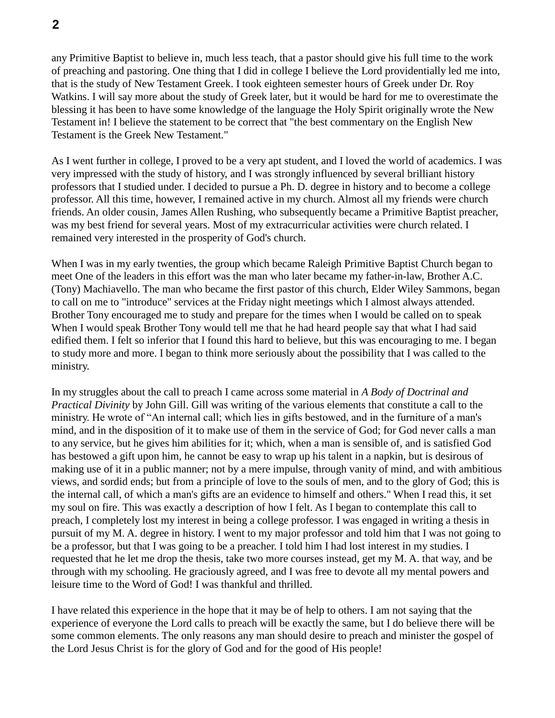any Primitive Baptist to believe in, much less teach, that a pastor should give his full time to the work of preaching and pastoring. One thing that I did in college I believe the Lord providentially led me into, that is the study of New Testament Greek. I took eighteen semester hours of Greek under Dr. Roy Watkins. I will say more about the study of Greek later, but it would be hard for me to overestimate the blessing it has been to have some knowledge of the language the Holy Spirit originally wrote the New Testament in! I believe the statement to be correct that "the best commentary on the English New Testament is the Greek New Testament."

As I went further in college, I proved to be a very apt student, and I loved the world of academics. I was very impressed with the study of history, and I was strongly influenced by several brilliant history professors that I studied under. I decided to pursue a Ph. D. degree in history and to become a college professor. All this time, however, I remained active in my church. Almost all my friends were church friends. An older cousin, James Allen Rushing, who subsequently became a Primitive Baptist preacher, was my best friend for several years. Most of my extracurricular activities were church related. I remained very interested in the prosperity of God's church.

When I was in my early twenties, the group which became Raleigh Primitive Baptist Church began to meet One of the leaders in this effort was the man who later became my father-in-law, Brother A.C. (Tony) Machiavello. The man who became the first pastor of this church, Elder Wiley Sammons, began to call on me to "introduce" services at the Friday night meetings which I almost always attended. Brother Tony encouraged me to study and prepare for the times when I would be called on to speak When I would speak Brother Tony would tell me that he had heard people say that what I had said edified them. I felt so inferior that I found this hard to believe, but this was encouraging to me. I began to study more and more. I began to think more seriously about the possibility that I was called to the ministry.

In my struggles about the call to preach I came across some material in *A Body of Doctrinal and Practical Divinity* by John Gill. Gill was writing of the various elements that constitute a call to the ministry. He wrote of "An internal call; which lies in gifts bestowed, and in the furniture of a man's mind, and in the disposition of it to make use of them in the service of God; for God never calls a man to any service, but he gives him abilities for it; which, when a man is sensible of, and is satisfied God has bestowed a gift upon him, he cannot be easy to wrap up his talent in a napkin, but is desirous of making use of it in a public manner; not by a mere impulse, through vanity of mind, and with ambitious views, and sordid ends; but from a principle of love to the souls of men, and to the glory of God; this is the internal call, of which a man's gifts are an evidence to himself and others." When I read this, it set my soul on fire. This was exactly a description of how I felt. As I began to contemplate this call to preach, I completely lost my interest in being a college professor. I was engaged in writing a thesis in pursuit of my M. A. degree in history. I went to my major professor and told him that I was not going to be a professor, but that I was going to be a preacher. I told him I had lost interest in my studies. I requested that he let me drop the thesis, take two more courses instead, get my M. A. that way, and be through with my schooling. He graciously agreed, and I was free to devote all my mental powers and leisure time to the Word of God! I was thankful and thrilled.

I have related this experience in the hope that it may be of help to others. I am not saying that the experience of everyone the Lord calls to preach will be exactly the same, but I do believe there will be some common elements. The only reasons any man should desire to preach and minister the gospel of the Lord Jesus Christ is for the glory of God and for the good of His people!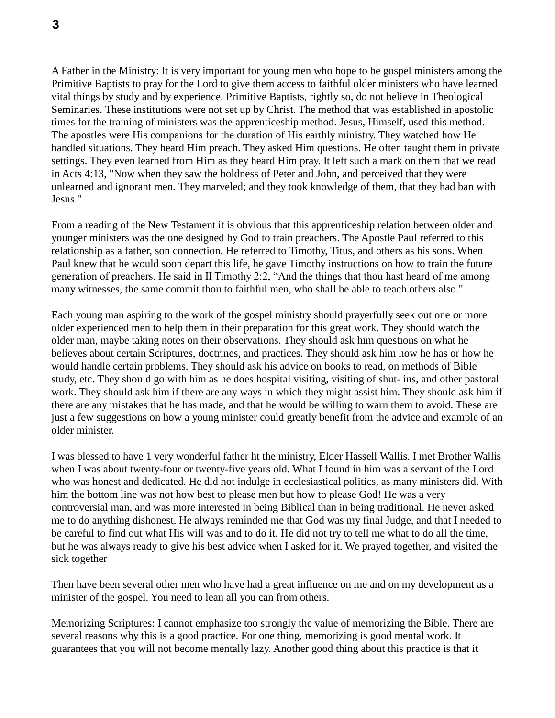A Father in the Ministry: It is very important for young men who hope to be gospel ministers among the Primitive Baptists to pray for the Lord to give them access to faithful older ministers who have learned vital things by study and by experience. Primitive Baptists, rightly so, do not believe in Theological Seminaries. These institutions were not set up by Christ. The method that was established in apostolic times for the training of ministers was the apprenticeship method. Jesus, Himself, used this method. The apostles were His companions for the duration of His earthly ministry. They watched how He handled situations. They heard Him preach. They asked Him questions. He often taught them in private settings. They even learned from Him as they heard Him pray. It left such a mark on them that we read in Acts 4:13, "Now when they saw the boldness of Peter and John, and perceived that they were unlearned and ignorant men. They marveled; and they took knowledge of them, that they had ban with Jesus."

From a reading of the New Testament it is obvious that this apprenticeship relation between older and younger ministers was tbe one designed by God to train preachers. The Apostle Paul referred to this relationship as a father, son connection. He referred to Timothy, Titus, and others as his sons. When Paul knew that he would soon depart this life, he gave Timothy instructions on how to train the future generation of preachers. He said in II Timothy 2:2, "And the things that thou hast heard of me among many witnesses, the same commit thou to faithful men, who shall be able to teach others also."

Each young man aspiring to the work of the gospel ministry should prayerfully seek out one or more older experienced men to help them in their preparation for this great work. They should watch the older man, maybe taking notes on their observations. They should ask him questions on what he believes about certain Scriptures, doctrines, and practices. They should ask him how he has or how he would handle certain problems. They should ask his advice on books to read, on methods of Bible study, etc. They should go with him as he does hospital visiting, visiting of shut- ins, and other pastoral work. They should ask him if there are any ways in which they might assist him. They should ask him if there are any mistakes that he has made, and that he would be willing to warn them to avoid. These are just a few suggestions on how a young minister could greatly benefit from the advice and example of an older minister.

I was blessed to have 1 very wonderful father ht the ministry, Elder Hassell Wallis. I met Brother Wallis when I was about twenty-four or twenty-five years old. What I found in him was a servant of the Lord who was honest and dedicated. He did not indulge in ecclesiastical politics, as many ministers did. With him the bottom line was not how best to please men but how to please God! He was a very controversial man, and was more interested in being Biblical than in being traditional. He never asked me to do anything dishonest. He always reminded me that God was my final Judge, and that I needed to be careful to find out what His will was and to do it. He did not try to tell me what to do all the time, but he was always ready to give his best advice when I asked for it. We prayed together, and visited the sick together

Then have been several other men who have had a great influence on me and on my development as a minister of the gospel. You need to lean all you can from others.

Memorizing Scriptures: I cannot emphasize too strongly the value of memorizing the Bible. There are several reasons why this is a good practice. For one thing, memorizing is good mental work. It guarantees that you will not become mentally lazy. Another good thing about this practice is that it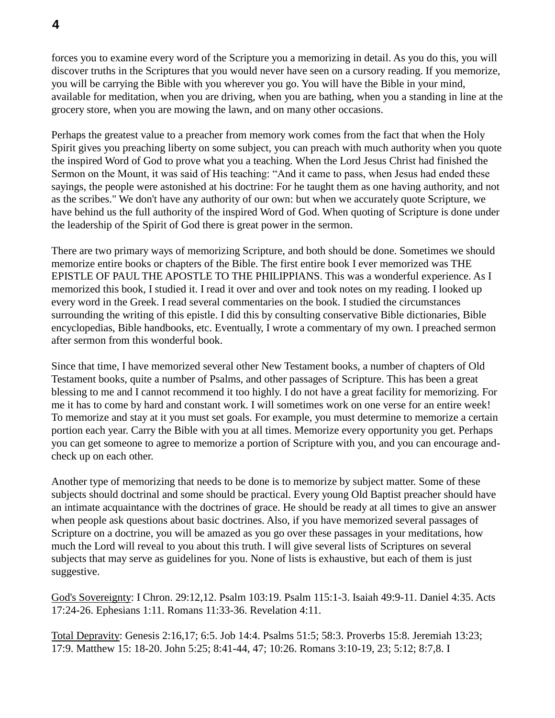forces you to examine every word of the Scripture you a memorizing in detail. As you do this, you will discover truths in the Scriptures that you would never have seen on a cursory reading. If you memorize, you will be carrying the Bible with you wherever you go. You will have the Bible in your mind, available for meditation, when you are driving, when you are bathing, when you a standing in line at the grocery store, when you are mowing the lawn, and on many other occasions.

Perhaps the greatest value to a preacher from memory work comes from the fact that when the Holy Spirit gives you preaching liberty on some subject, you can preach with much authority when you quote the inspired Word of God to prove what you a teaching. When the Lord Jesus Christ had finished the Sermon on the Mount, it was said of His teaching: "And it came to pass, when Jesus had ended these sayings, the people were astonished at his doctrine: For he taught them as one having authority, and not as the scribes." We don't have any authority of our own: but when we accurately quote Scripture, we have behind us the full authority of the inspired Word of God. When quoting of Scripture is done under the leadership of the Spirit of God there is great power in the sermon.

There are two primary ways of memorizing Scripture, and both should be done. Sometimes we should memorize entire books or chapters of the Bible. The first entire book I ever memorized was THE EPISTLE OF PAUL THE APOSTLE TO THE PHILIPPIANS. This was a wonderful experience. As I memorized this book, I studied it. I read it over and over and took notes on my reading. I looked up every word in the Greek. I read several commentaries on the book. I studied the circumstances surrounding the writing of this epistle. I did this by consulting conservative Bible dictionaries, Bible encyclopedias, Bible handbooks, etc. Eventually, I wrote a commentary of my own. I preached sermon after sermon from this wonderful book.

Since that time, I have memorized several other New Testament books, a number of chapters of Old Testament books, quite a number of Psalms, and other passages of Scripture. This has been a great blessing to me and I cannot recommend it too highly. I do not have a great facility for memorizing. For me it has to come by hard and constant work. I will sometimes work on one verse for an entire week! To memorize and stay at it you must set goals. For example, you must determine to memorize a certain portion each year. Carry the Bible with you at all times. Memorize every opportunity you get. Perhaps you can get someone to agree to memorize a portion of Scripture with you, and you can encourage andcheck up on each other.

Another type of memorizing that needs to be done is to memorize by subject matter. Some of these subjects should doctrinal and some should be practical. Every young Old Baptist preacher should have an intimate acquaintance with the doctrines of grace. He should be ready at all times to give an answer when people ask questions about basic doctrines. Also, if you have memorized several passages of Scripture on a doctrine, you will be amazed as you go over these passages in your meditations, how much the Lord will reveal to you about this truth. I will give several lists of Scriptures on several subjects that may serve as guidelines for you. None of lists is exhaustive, but each of them is just suggestive.

God's Sovereignty: I Chron. 29:12,12. Psalm 103:19. Psalm 115:1-3. Isaiah 49:9-11. Daniel 4:35. Acts 17:24-26. Ephesians 1:11. Romans 11:33-36. Revelation 4:11.

Total Depravity: Genesis 2:16,17; 6:5. Job 14:4. Psalms 51:5; 58:3. Proverbs 15:8. Jeremiah 13:23; 17:9. Matthew 15: 18-20. John 5:25; 8:41-44, 47; 10:26. Romans 3:10-19, 23; 5:12; 8:7,8. I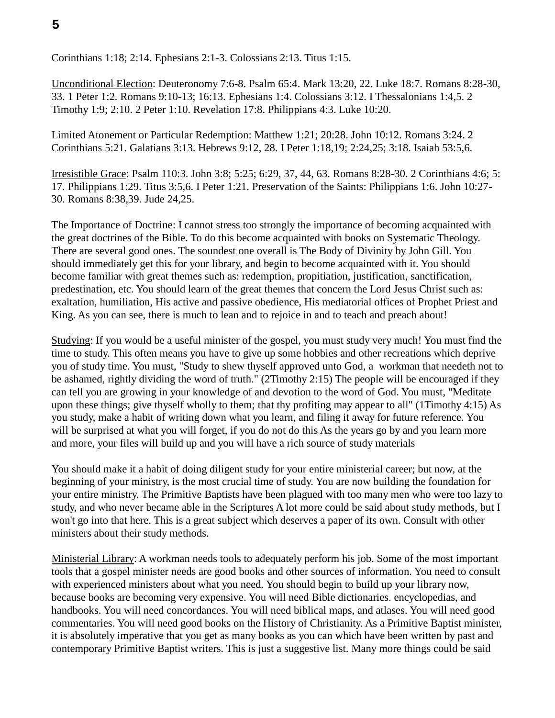Corinthians 1:18; 2:14. Ephesians 2:1-3. Colossians 2:13. Titus 1:15.

Unconditional Election: Deuteronomy 7:6-8. Psalm 65:4. Mark 13:20, 22. Luke 18:7. Romans 8:28-30, 33. 1 Peter 1:2. Romans 9:10-13; 16:13. Ephesians 1:4. Colossians 3:12. I Thessalonians 1:4,5. 2 Timothy 1:9; 2:10. 2 Peter 1:10. Revelation 17:8. Philippians 4:3. Luke 10:20.

Limited Atonement or Particular Redemption: Matthew 1:21; 20:28. John 10:12. Romans 3:24. 2 Corinthians 5:21. Galatians 3:13. Hebrews 9:12, 28. I Peter 1:18,19; 2:24,25; 3:18. Isaiah 53:5,6.

Irresistible Grace: Psalm 110:3. John 3:8; 5:25; 6:29, 37, 44, 63. Romans 8:28-30. 2 Corinthians 4:6; 5: 17. Philippians 1:29. Titus 3:5,6. I Peter 1:21. Preservation of the Saints: Philippians 1:6. John 10:27- 30. Romans 8:38,39. Jude 24,25.

The Importance of Doctrine: I cannot stress too strongly the importance of becoming acquainted with the great doctrines of the Bible. To do this become acquainted with books on Systematic Theology. There are several good ones. The soundest one overall is The Body of Divinity by John Gill. You should immediately get this for your library, and begin to become acquainted with it. You should become familiar with great themes such as: redemption, propitiation, justification, sanctification, predestination, etc. You should learn of the great themes that concern the Lord Jesus Christ such as: exaltation, humiliation, His active and passive obedience, His mediatorial offices of Prophet Priest and King. As you can see, there is much to lean and to rejoice in and to teach and preach about!

Studying: If you would be a useful minister of the gospel, you must study very much! You must find the time to study. This often means you have to give up some hobbies and other recreations which deprive you of study time. You must, "Study to shew thyself approved unto God, a workman that needeth not to be ashamed, rightly dividing the word of truth." (2Timothy 2:15) The people will be encouraged if they can tell you are growing in your knowledge of and devotion to the word of God. You must, "Meditate upon these things; give thyself wholly to them; that thy profiting may appear to all" (1Timothy 4:15) As you study, make a habit of writing down what you learn, and filing it away for future reference. You will be surprised at what you will forget, if you do not do this As the years go by and you learn more and more, your files will build up and you will have a rich source of study materials

You should make it a habit of doing diligent study for your entire ministerial career; but now, at the beginning of your ministry, is the most crucial time of study. You are now building the foundation for your entire ministry. The Primitive Baptists have been plagued with too many men who were too lazy to study, and who never became able in the Scriptures A lot more could be said about study methods, but I won't go into that here. This is a great subject which deserves a paper of its own. Consult with other ministers about their study methods.

Ministerial Library: A workman needs tools to adequately perform his job. Some of the most important tools that a gospel minister needs are good books and other sources of information. You need to consult with experienced ministers about what you need. You should begin to build up your library now, because books are becoming very expensive. You will need Bible dictionaries. encyclopedias, and handbooks. You will need concordances. You will need biblical maps, and atlases. You will need good commentaries. You will need good books on the History of Christianity. As a Primitive Baptist minister, it is absolutely imperative that you get as many books as you can which have been written by past and contemporary Primitive Baptist writers. This is just a suggestive list. Many more things could be said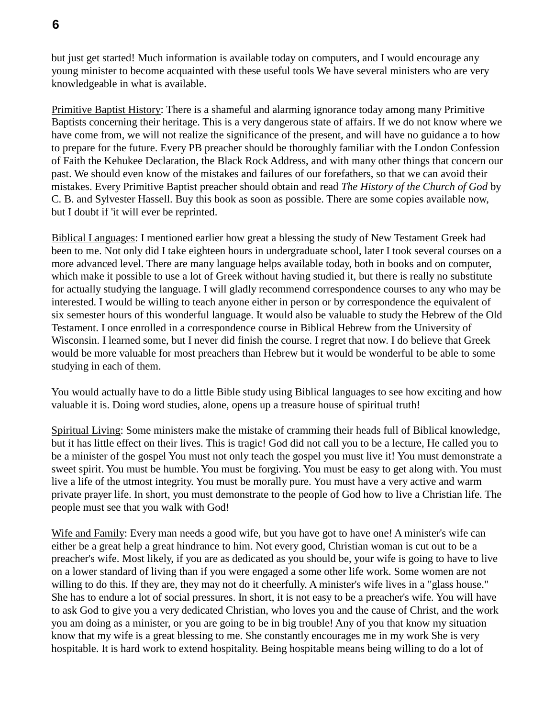but just get started! Much information is available today on computers, and I would encourage any young minister to become acquainted with these useful tools We have several ministers who are very knowledgeable in what is available.

Primitive Baptist History: There is a shameful and alarming ignorance today among many Primitive Baptists concerning their heritage. This is a very dangerous state of affairs. If we do not know where we have come from, we will not realize the significance of the present, and will have no guidance a to how to prepare for the future. Every PB preacher should be thoroughly familiar with the London Confession of Faith the Kehukee Declaration, the Black Rock Address, and with many other things that concern our past. We should even know of the mistakes and failures of our forefathers, so that we can avoid their mistakes. Every Primitive Baptist preacher should obtain and read *The History of the Church of God* by C. B. and Sylvester Hassell. Buy this book as soon as possible. There are some copies available now, but I doubt if 'it will ever be reprinted.

Biblical Languages: I mentioned earlier how great a blessing the study of New Testament Greek had been to me. Not only did I take eighteen hours in undergraduate school, later I took several courses on a more advanced level. There are many language helps available today, both in books and on computer, which make it possible to use a lot of Greek without having studied it, but there is really no substitute for actually studying the language. I will gladly recommend correspondence courses to any who may be interested. I would be willing to teach anyone either in person or by correspondence the equivalent of six semester hours of this wonderful language. It would also be valuable to study the Hebrew of the Old Testament. I once enrolled in a correspondence course in Biblical Hebrew from the University of Wisconsin. I learned some, but I never did finish the course. I regret that now. I do believe that Greek would be more valuable for most preachers than Hebrew but it would be wonderful to be able to some studying in each of them.

You would actually have to do a little Bible study using Biblical languages to see how exciting and how valuable it is. Doing word studies, alone, opens up a treasure house of spiritual truth!

Spiritual Living: Some ministers make the mistake of cramming their heads full of Biblical knowledge, but it has little effect on their lives. This is tragic! God did not call you to be a lecture, He called you to be a minister of the gospel You must not only teach the gospel you must live it! You must demonstrate a sweet spirit. You must be humble. You must be forgiving. You must be easy to get along with. You must live a life of the utmost integrity. You must be morally pure. You must have a very active and warm private prayer life. In short, you must demonstrate to the people of God how to live a Christian life. The people must see that you walk with God!

Wife and Family: Every man needs a good wife, but you have got to have one! A minister's wife can either be a great help a great hindrance to him. Not every good, Christian woman is cut out to be a preacher's wife. Most likely, if you are as dedicated as you should be, your wife is going to have to live on a lower standard of living than if you were engaged a some other life work. Some women are not willing to do this. If they are, they may not do it cheerfully. A minister's wife lives in a "glass house." She has to endure a lot of social pressures. In short, it is not easy to be a preacher's wife. You will have to ask God to give you a very dedicated Christian, who loves you and the cause of Christ, and the work you am doing as a minister, or you are going to be in big trouble! Any of you that know my situation know that my wife is a great blessing to me. She constantly encourages me in my work She is very hospitable. It is hard work to extend hospitality. Being hospitable means being willing to do a lot of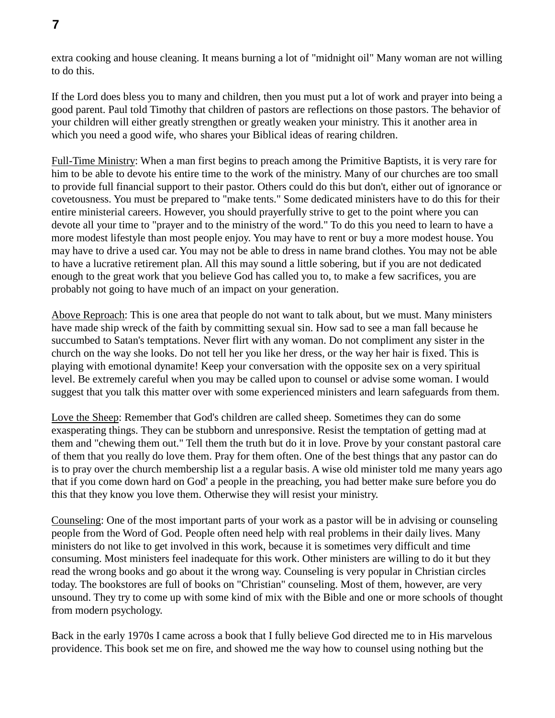**7**

extra cooking and house cleaning. It means burning a lot of "midnight oil" Many woman are not willing to do this.

If the Lord does bless you to many and children, then you must put a lot of work and prayer into being a good parent. Paul told Timothy that children of pastors are reflections on those pastors. The behavior of your children will either greatly strengthen or greatly weaken your ministry. This it another area in which you need a good wife, who shares your Biblical ideas of rearing children.

Full-Time Ministry: When a man first begins to preach among the Primitive Baptists, it is very rare for him to be able to devote his entire time to the work of the ministry. Many of our churches are too small to provide full financial support to their pastor. Others could do this but don't, either out of ignorance or covetousness. You must be prepared to "make tents." Some dedicated ministers have to do this for their entire ministerial careers. However, you should prayerfully strive to get to the point where you can devote all your time to "prayer and to the ministry of the word." To do this you need to learn to have a more modest lifestyle than most people enjoy. You may have to rent or buy a more modest house. You may have to drive a used car. You may not be able to dress in name brand clothes. You may not be able to have a lucrative retirement plan. All this may sound a little sobering, but if you are not dedicated enough to the great work that you believe God has called you to, to make a few sacrifices, you are probably not going to have much of an impact on your generation.

Above Reproach: This is one area that people do not want to talk about, but we must. Many ministers have made ship wreck of the faith by committing sexual sin. How sad to see a man fall because he succumbed to Satan's temptations. Never flirt with any woman. Do not compliment any sister in the church on the way she looks. Do not tell her you like her dress, or the way her hair is fixed. This is playing with emotional dynamite! Keep your conversation with the opposite sex on a very spiritual level. Be extremely careful when you may be called upon to counsel or advise some woman. I would suggest that you talk this matter over with some experienced ministers and learn safeguards from them.

Love the Sheep: Remember that God's children are called sheep. Sometimes they can do some exasperating things. They can be stubborn and unresponsive. Resist the temptation of getting mad at them and "chewing them out." Tell them the truth but do it in love. Prove by your constant pastoral care of them that you really do love them. Pray for them often. One of the best things that any pastor can do is to pray over the church membership list a a regular basis. A wise old minister told me many years ago that if you come down hard on God' a people in the preaching, you had better make sure before you do this that they know you love them. Otherwise they will resist your ministry.

Counseling: One of the most important parts of your work as a pastor will be in advising or counseling people from the Word of God. People often need help with real problems in their daily lives. Many ministers do not like to get involved in this work, because it is sometimes very difficult and time consuming. Most ministers feel inadequate for this work. Other ministers are willing to do it but they read the wrong books and go about it the wrong way. Counseling is very popular in Christian circles today. The bookstores are full of books on "Christian" counseling. Most of them, however, are very unsound. They try to come up with some kind of mix with the Bible and one or more schools of thought from modern psychology.

Back in the early 1970s I came across a book that I fully believe God directed me to in His marvelous providence. This book set me on fire, and showed me the way how to counsel using nothing but the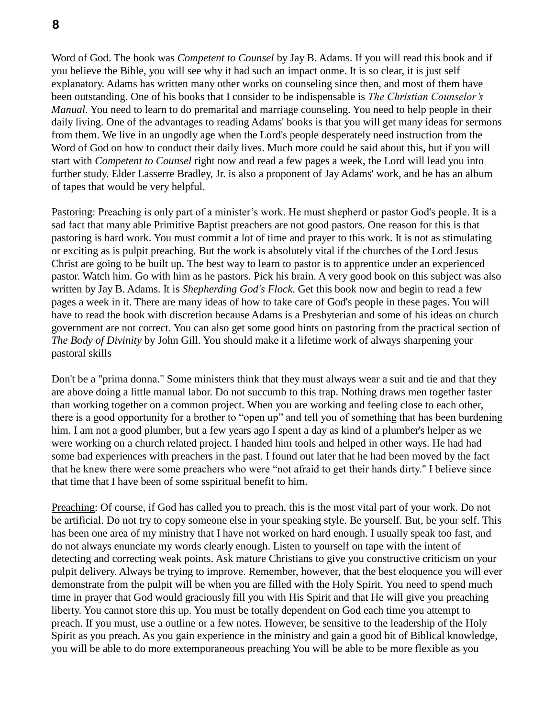**8**

Word of God. The book was *Competent to Counsel* by Jay B. Adams. If you will read this book and if you believe the Bible, you will see why it had such an impact onme. It is so clear, it is just self explanatory. Adams has written many other works on counseling since then, and most of them have been outstanding. One of his books that I consider to be indispensable is *The Christian Counselor's Manual*. You need to learn to do premarital and marriage counseling. You need to help people in their daily living. One of the advantages to reading Adams' books is that you will get many ideas for sermons from them. We live in an ungodly age when the Lord's people desperately need instruction from the Word of God on how to conduct their daily lives. Much more could be said about this, but if you will start with *Competent to Counsel* right now and read a few pages a week, the Lord will lead you into further study. Elder Lasserre Bradley, Jr. is also a proponent of Jay Adams' work, and he has an album of tapes that would be very helpful.

Pastoring: Preaching is only part of a minister's work. He must shepherd or pastor God's people. It is a sad fact that many able Primitive Baptist preachers are not good pastors. One reason for this is that pastoring is hard work. You must commit a lot of time and prayer to this work. It is not as stimulating or exciting as is pulpit preaching. But the work is absolutely vital if the churches of the Lord Jesus Christ are going to be built up. The best way to learn to pastor is to apprentice under an experienced pastor. Watch him. Go with him as he pastors. Pick his brain. A very good book on this subject was also written by Jay B. Adams. It is *Shepherding God's Flock*. Get this book now and begin to read a few pages a week in it. There are many ideas of how to take care of God's people in these pages. You will have to read the book with discretion because Adams is a Presbyterian and some of his ideas on church government are not correct. You can also get some good hints on pastoring from the practical section of *The Body of Divinity* by John Gill. You should make it a lifetime work of always sharpening your pastoral skills

Don't be a "prima donna." Some ministers think that they must always wear a suit and tie and that they are above doing a little manual labor. Do not succumb to this trap. Nothing draws men together faster than working together on a common project. When you are working and feeling close to each other, there is a good opportunity for a brother to "open up" and tell you of something that has been burdening him. I am not a good plumber, but a few years ago I spent a day as kind of a plumber's helper as we were working on a church related project. I handed him tools and helped in other ways. He had had some bad experiences with preachers in the past. I found out later that he had been moved by the fact that he knew there were some preachers who were "not afraid to get their hands dirty." I believe since that time that I have been of some sspiritual benefit to him.

Preaching: Of course, if God has called you to preach, this is the most vital part of your work. Do not be artificial. Do not try to copy someone else in your speaking style. Be yourself. But, be your self. This has been one area of my ministry that I have not worked on hard enough. I usually speak too fast, and do not always enunciate my words clearly enough. Listen to yourself on tape with the intent of detecting and correcting weak points. Ask mature Christians to give you constructive criticism on your pulpit delivery. Always be trying to improve. Remember, however, that the best eloquence you will ever demonstrate from the pulpit will be when you are filled with the Holy Spirit. You need to spend much time in prayer that God would graciously fill you with His Spirit and that He will give you preaching liberty. You cannot store this up. You must be totally dependent on God each time you attempt to preach. If you must, use a outline or a few notes. However, be sensitive to the leadership of the Holy Spirit as you preach. As you gain experience in the ministry and gain a good bit of Biblical knowledge, you will be able to do more extemporaneous preaching You will be able to be more flexible as you